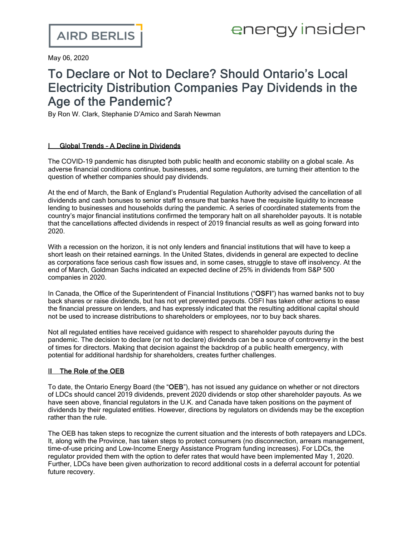May 06, 2020

# To Declare or Not to Declare? Should Ontario's Local Electricity Distribution Companies Pay Dividends in the Age of the Pandemic?

By Ron W. Clark, Stephanie D'Amico and Sarah Newman

## **I** Global Trends - A Decline in Dividends

The COVID-19 pandemic has disrupted both public health and economic stability on a global scale. As adverse financial conditions continue, businesses, and some regulators, are turning their attention to the question of whether companies should pay dividends.

At the end of March, the Bank of England's Prudential Regulation Authority advised the [cancellation](https://www.theguardian.com/business/2020/mar/31/uk-banks-agree-to-scrap-dividends-and-bonuses-due-to-recession-fears) of all [dividends](https://www.theguardian.com/business/2020/mar/31/uk-banks-agree-to-scrap-dividends-and-bonuses-due-to-recession-fears) and cash bonuses to senior staff to ensure that banks have the requisite liquidity to increase lending to businesses and households during the pandemic. A series of coordinated statements from the country's major financial institutions confirmed the temporary halt on all shareholder payouts. It is notable that the cancellations affected dividends in respect of 2019 financial results as well as going forward into 2020.

With a recession on the horizon, it is not only lenders and financial institutions that will have to keep a short leash on their retained earnings. In the United States, dividends in general are expected to decline as corporations face serious cash flow issues and, in some cases, struggle to stave off insolvency. At the end of March, Goldman Sachs indicated an expected decline of 25% in [dividends](https://www.theguardian.pe.ca/business/reuters/goldman-sachs-sees-sp-500-dividends-declining-25-in-2020-431264/) from S&P 500 [companies](https://www.theguardian.pe.ca/business/reuters/goldman-sachs-sees-sp-500-dividends-declining-25-in-2020-431264/) in 2020.

In Canada, the Office of the Superintendent of Financial Institutions ("OSFI") has warned [banks](https://www.osfi-bsif.gc.ca/Eng/osfi-bsif/med/Pages/nr_20200313.aspx) not to buy back shares or raise [dividends,](https://www.osfi-bsif.gc.ca/Eng/osfi-bsif/med/Pages/nr_20200313.aspx) but has not yet prevented payouts. OSFI has taken other actions to ease the financial pressure on lenders, and has expressly indicated that the resulting additional capital should not be used to increase distributions to shareholders or employees, nor to buy back shares.

Not all regulated entities have received guidance with respect to shareholder payouts during the pandemic. The decision to declare (or not to declare) dividends can be a source of controversy in the best of times for directors. Making that decision against the backdrop of a public health emergency, with potential for additional hardship for shareholders, creates further challenges.

### II The Role of the OEB

To date, the Ontario Energy Board (the "OEB"), has not issued any guidance on whether or not directors of LDCs should cancel 2019 dividends, prevent 2020 dividends or stop other shareholder payouts. As we have seen above, financial regulators in the U.K. and Canada have taken positions on the payment of dividends by their regulated entities. However, directions by regulators on dividends may be the exception rather than the rule.

The OEB has taken steps to recognize the current situation and the interests of both ratepayers and LDCs. It, along with the Province, has taken steps to protect consumers (no disconnection, arrears management, time-of-use pricing and Low-Income Energy Assistance Program funding increases). For LDCs, the regulator provided them with the option to defer rates that would have been implemented May 1, 2020. Further, LDCs have been given authorization to record additional costs in a deferral account for potential future recovery.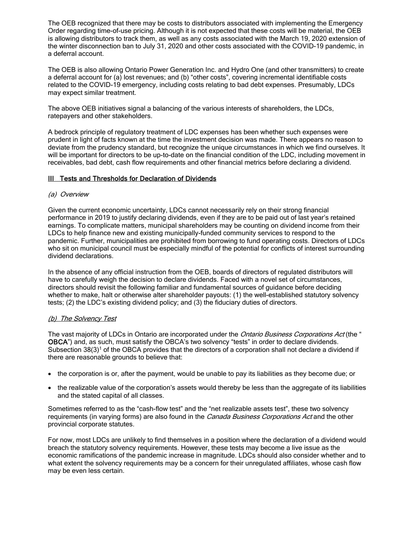The OEB recognized that there may be costs to distributors associated with implementing the Emergency Order regarding time-of-use pricing. Although it is not expected that these costs will be material, the OEB is allowing distributors to track them, as well as any costs associated with the March 19, 2020 extension of the winter disconnection ban to July 31, 2020 and other costs associated with the COVID-19 pandemic, in a deferral account.

The OEB is also allowing Ontario Power Generation Inc. and Hydro One (and other transmitters) to create a deferral account for (a) lost revenues; and (b) "other costs", covering incremental identifiable costs related to the COVID-19 emergency, including costs relating to bad debt expenses. Presumably, LDCs may expect similar treatment.

The above OEB initiatives signal a balancing of the various interests of shareholders, the LDCs, ratepayers and other stakeholders.

A bedrock principle of regulatory treatment of LDC expenses has been whether such expenses were prudent in light of facts known at the time the investment decision was made. There appears no reason to deviate from the prudency standard, but recognize the unique circumstances in which we find ourselves. It will be important for directors to be up-to-date on the financial condition of the LDC, including movement in receivables, bad debt, cash flow requirements and other financial metrics before declaring a dividend.

#### III Tests and Thresholds for Declaration of Dividends

#### (a) Overview

Given the current economic uncertainty, LDCs cannot necessarily rely on their strong financial performance in 2019 to justify declaring dividends, even if they are to be paid out of last year's retained earnings. To complicate matters, municipal shareholders may be counting on dividend income from their LDCs to help finance new and existing municipally-funded community services to respond to the pandemic. Further, municipalities are prohibited from borrowing to fund operating costs. Directors of LDCs who sit on municipal council must be especially mindful of the potential for conflicts of interest surrounding dividend declarations.

In the absence of any official instruction from the OEB, boards of directors of regulated distributors will have to carefully weigh the decision to declare dividends. Faced with a novel set of circumstances, directors should revisit the following familiar and fundamental sources of guidance before deciding whether to make, halt or otherwise alter shareholder payouts: (1) the well-established statutory solvency tests; (2) the LDC's existing dividend policy; and (3) the fiduciary duties of directors.

#### (b) The Solvency Test

The vast majority of LDCs in Ontario are incorporated under the *Ontario Business Corporations Act* (the " OBCA") and, as such, must satisfy the OBCA's two solvency "tests" in order to declare dividends. Subsection  $38(3)^1$  of the OBCA provides that the directors of a corporation shall not declare a dividend if there are reasonable grounds to believe that:

- · the corporation is or, after the payment, would be unable to pay its liabilities as they become due; or
- · the realizable value of the corporation's assets would thereby be less than the aggregate of its liabilities and the stated capital of all classes.

Sometimes referred to as the "cash-flow test" and the "net realizable assets test", these two solvency requirements (in varying forms) are also found in the *Canada Business Corporations Act* and the other provincial corporate statutes.

For now, most LDCs are unlikely to find themselves in a position where the declaration of a dividend would breach the statutory solvency requirements. However, these tests may become a live issue as the economic ramifications of the pandemic increase in magnitude. LDCs should also consider whether and to what extent the solvency requirements may be a concern for their unregulated affiliates, whose cash flow may be even less certain.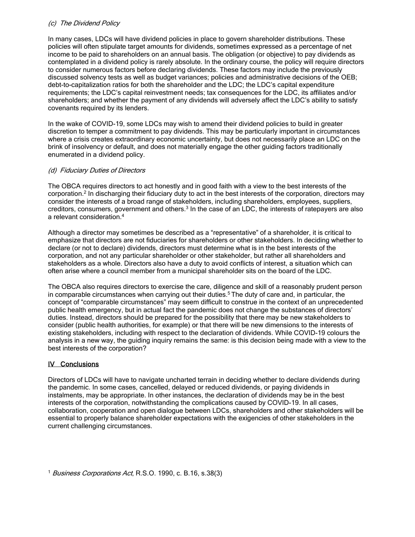#### (c) The Dividend Policy

In many cases, LDCs will have dividend policies in place to govern shareholder distributions. These policies will often stipulate target amounts for dividends, sometimes expressed as a percentage of net income to be paid to shareholders on an annual basis. The obligation (or objective) to pay dividends as contemplated in a dividend policy is rarely absolute. In the ordinary course, the policy will require directors to consider numerous factors before declaring dividends. These factors may include the previously discussed solvency tests as well as budget variances; policies and administrative decisions of the OEB; debt-to-capitalization ratios for both the shareholder and the LDC; the LDC's capital expenditure requirements; the LDC's capital reinvestment needs; tax consequences for the LDC, its affiliates and/or shareholders; and whether the payment of any dividends will adversely affect the LDC's ability to satisfy covenants required by its lenders.

In the wake of COVID-19, some LDCs may wish to amend their dividend policies to build in greater discretion to temper a commitment to pay dividends. This may be particularly important in circumstances where a crisis creates extraordinary economic uncertainty, but does not necessarily place an LDC on the brink of insolvency or default, and does not materially engage the other guiding factors traditionally enumerated in a dividend policy.

#### (d) Fiduciary Duties of Directors

The OBCA requires directors to act honestly and in good faith with a view to the best interests of the corporation.<sup>2</sup> In discharging their fiduciary duty to act in the best interests of the corporation, directors may consider the interests of a broad range of stakeholders, including shareholders, employees, suppliers, creditors, consumers, government and others.<sup>3</sup> In the case of an LDC, the interests of ratepayers are also a relevant consideration.<sup>4</sup>

Although a director may sometimes be described as a "representative" of a shareholder, it is critical to emphasize that directors are not fiduciaries for shareholders or other stakeholders. In deciding whether to declare (or not to declare) dividends, directors must determine what is in the best interests of the corporation, and not any particular shareholder or other stakeholder, but rather all shareholders and stakeholders as a whole. Directors also have a duty to avoid conflicts of interest, a situation which can often arise where a council member from a municipal shareholder sits on the board of the LDC.

The OBCA also requires directors to exercise the care, diligence and skill of a reasonably prudent person in comparable circumstances when carrying out their duties.<sup>5</sup> The duty of care and, in particular, the concept of "comparable circumstances" may seem difficult to construe in the context of an unprecedented public health emergency, but in actual fact the pandemic does not change the substances of directors' duties. Instead, directors should be prepared for the possibility that there may be new stakeholders to consider (public health authorities, for example) or that there will be new dimensions to the interests of existing stakeholders, including with respect to the declaration of dividends. While COVID-19 colours the analysis in a new way, the guiding inquiry remains the same: is this decision being made with a view to the best interests of the corporation?

#### IV Conclusions

Directors of LDCs will have to navigate uncharted terrain in deciding whether to declare dividends during the pandemic. In some cases, cancelled, delayed or reduced dividends, or paying dividends in instalments, may be appropriate. In other instances, the declaration of dividends may be in the best interests of the corporation, notwithstanding the complications caused by COVID-19. In all cases, collaboration, cooperation and open dialogue between LDCs, shareholders and other stakeholders will be essential to properly balance shareholder expectations with the exigencies of other stakeholders in the current challenging circumstances.

<sup>1</sup> Business Corporations Act, R.S.O. 1990, c. B.16, s.38(3)